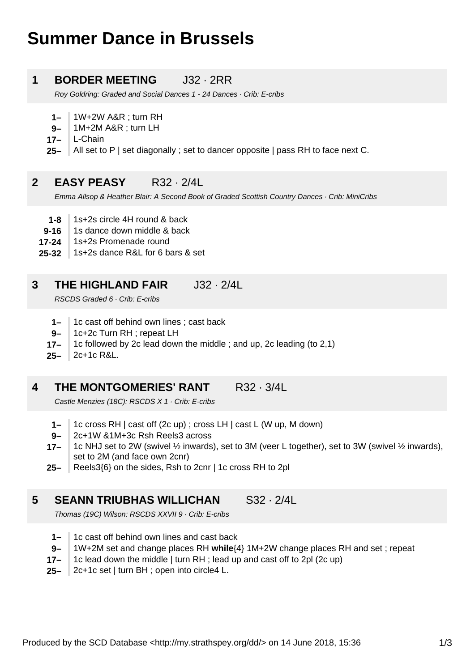# **Summer Dance in Brussels**

### **1 BORDER MEETING** J32 · 2RR

Roy Goldring: Graded and Social Dances 1 - 24 Dances · Crib: E-cribs

- **1–** 1W+2W A&R ; turn RH
- **9–** 1M+2M A&R ; turn LH
- **17–** L-Chain
- **25–** All set to P | set diagonally ; set to dancer opposite | pass RH to face next C.

#### **2 EASY PEASY** R32 · 2/4L

Emma Allsop & Heather Blair: A Second Book of Graded Scottish Country Dances · Crib: MiniCribs

- **1-8** 1s+2s circle 4H round & back
- **9-16** 1s dance down middle & back
- **17-24** 1s+2s Promenade round
- **25-32** 1s+2s dance R&L for 6 bars & set

#### **3 THE HIGHLAND FAIR** J32 · 2/4L

RSCDS Graded 6 · Crib: E-cribs

- **1–** 1c cast off behind own lines ; cast back
- **9–** 1c+2c Turn RH ; repeat LH
- **17–** 1c followed by 2c lead down the middle ; and up, 2c leading (to 2,1)
- **25–** 2c+1c R&L.

#### **4 THE MONTGOMERIES' RANT R32 · 3/4L**

Castle Menzies (18C): RSCDS X 1 · Crib: E-cribs

- **1–** 1c cross RH | cast off (2c up) ; cross LH | cast L (W up, M down)
- **9–** 2c+1W &1M+3c Rsh Reels3 across
- **17–** 1c NHJ set to 2W (swivel ½ inwards), set to 3M (veer L together), set to 3W (swivel ½ inwards), set to 2M (and face own 2cnr)
- **25–** Reels3{6} on the sides, Rsh to 2cnr | 1c cross RH to 2pl

### **5 SEANN TRIUBHAS WILLICHAN** S32 · 2/4L

Thomas (19C) Wilson: RSCDS XXVII 9 · Crib: E-cribs

- **1–** 1c cast off behind own lines and cast back
- **9–** 1W+2M set and change places RH **while**{4} 1M+2W change places RH and set ; repeat
- **17–** 1c lead down the middle | turn RH ; lead up and cast off to 2pl (2c up)
- **25–** 2c+1c set | turn BH ; open into circle4 L.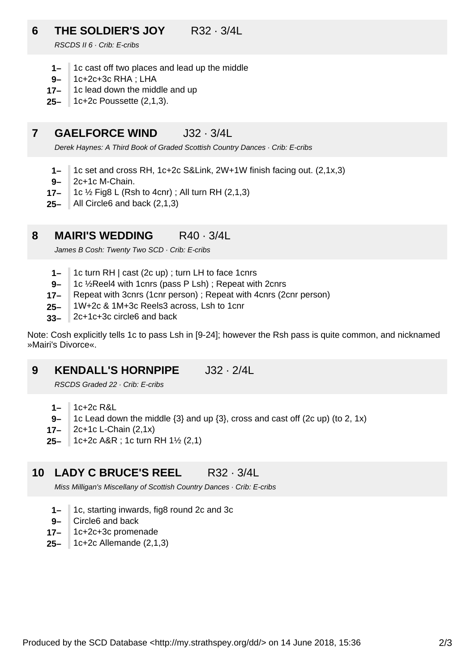# **6 THE SOLDIER'S JOY** R32 · 3/4L

RSCDS II 6 · Crib: E-cribs

- **1–** 1c cast off two places and lead up the middle
- **9–** 1c+2c+3c RHA ; LHA
- **17–** 1c lead down the middle and up
- **25–** 1c+2c Poussette (2,1,3).

#### **7 GAELFORCE WIND** J32 · 3/4L

Derek Haynes: A Third Book of Graded Scottish Country Dances · Crib: E-cribs

- **1–** 1c set and cross RH, 1c+2c S&Link, 2W+1W finish facing out. (2,1x,3)
- **9–** 2c+1c M-Chain.
- **17–** 1c ½ Fig8 L (Rsh to 4cnr) ; All turn RH (2,1,3)
- **25–** All Circle6 and back (2,1,3)

#### **8 MAIRI'S WEDDING** R40 · 3/4L

James B Cosh: Twenty Two SCD · Crib: E-cribs

- **1–** 1c turn RH | cast (2c up) ; turn LH to face 1cnrs
- **9–** 1c ½Reel4 with 1cnrs (pass P Lsh) ; Repeat with 2cnrs
- **17–** Repeat with 3cnrs (1cnr person) ; Repeat with 4cnrs (2cnr person)
- **25–** 1W+2c & 1M+3c Reels3 across, Lsh to 1cnr
- **33–** 2c+1c+3c circle6 and back

Note: Cosh explicitly tells 1c to pass Lsh in [9-24]; however the Rsh pass is quite common, and nicknamed »Mairi's Divorce«.

#### **9 KENDALL'S HORNPIPE** J32 · 2/4L

RSCDS Graded 22 · Crib: E-cribs

- **1–** 1c+2c R&L
- **9–** 1c Lead down the middle {3} and up {3}, cross and cast off (2c up) (to 2, 1x)
- **17–** 2c+1c L-Chain (2,1x)
- **25–** 1c+2c A&R ; 1c turn RH 1½ (2,1)

#### **10** LADY C BRUCE'S REEL R32 · 3/4L

Miss Milligan's Miscellany of Scottish Country Dances · Crib: E-cribs

- **1–** 1c, starting inwards, fig8 round 2c and 3c
- **9–** Circle6 and back
- **17–** 1c+2c+3c promenade
- **25–** 1c+2c Allemande (2,1,3)